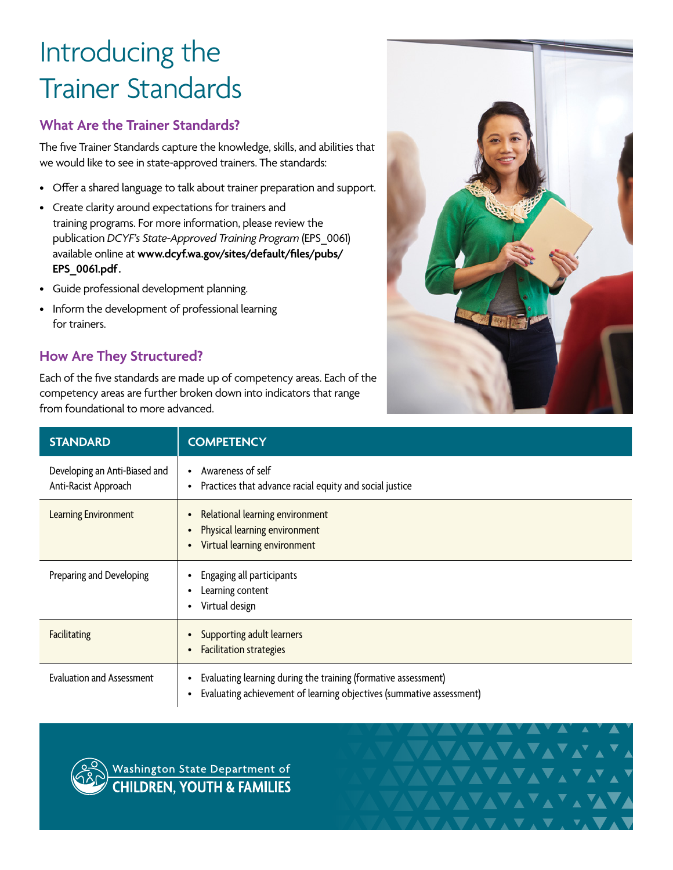# Introducing the Trainer Standards

## **What Are the Trainer Standards?**

The five Trainer Standards capture the knowledge, skills, and abilities that we would like to see in state-approved trainers. The standards:

- Offer a shared language to talk about trainer preparation and support.
- Create clarity around expectations for trainers and training programs. For more information, please review the publication *DCYF's State-Approved Training Program* (EPS\_0061) available online at **[www.dcyf.wa.gov/sites/default/files/pubs/](http://www.dcyf.wa.gov/sites/default/files/pubs/EPS_0061.pdf) [EPS\\_0061.pdf](http://www.dcyf.wa.gov/sites/default/files/pubs/EPS_0061.pdf).**
- Guide professional development planning.
- Inform the development of professional learning for trainers.

# **How Are They Structured?**

Each of the five standards are made up of competency areas. Each of the competency areas are further broken down into indicators that range from foundational to more advanced.



**AVAVAVA** 

| <b>STANDARD</b>                                       | <b>COMPETENCY</b>                                                                                                                           |
|-------------------------------------------------------|---------------------------------------------------------------------------------------------------------------------------------------------|
| Developing an Anti-Biased and<br>Anti-Racist Approach | Awareness of self<br>$\bullet$<br>Practices that advance racial equity and social justice<br>٠                                              |
| <b>Learning Environment</b>                           | Relational learning environment<br>Physical learning environment<br>Virtual learning environment                                            |
| Preparing and Developing                              | Engaging all participants<br>Learning content<br>Virtual design<br>٠                                                                        |
| <b>Facilitating</b>                                   | Supporting adult learners<br><b>Facilitation strategies</b>                                                                                 |
| <b>Evaluation and Assessment</b>                      | Evaluating learning during the training (formative assessment)<br>٠<br>Evaluating achievement of learning objectives (summative assessment) |